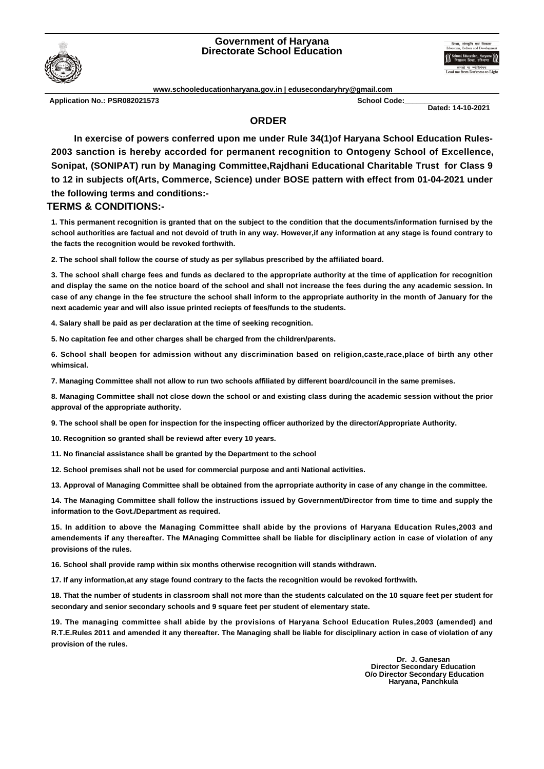## **Government of Haryana Directorate School Education**



**www.schooleducationharyana.gov.in | edusecondaryhry@gmail.com**

**Application No.: PSR082021573 School Code:\_\_\_\_\_\_\_\_\_\_\_\_\_\_\_\_\_\_\_\_\_**

 **Dated: 14-10-2021**

## **ORDER**

**In exercise of powers conferred upon me under Rule 34(1)of Haryana School Education Rules-2003 sanction is hereby accorded for permanent recognition to Ontogeny School of Excellence, Sonipat, (SONIPAT) run by Managing Committee,Rajdhani Educational Charitable Trust for Class 9 to 12 in subjects of(Arts, Commerce, Science) under BOSE pattern with effect from 01-04-2021 under the following terms and conditions:-**

## **TERMS & CONDITIONS:-**

**1. This permanent recognition is granted that on the subject to the condition that the documents/information furnised by the school authorities are factual and not devoid of truth in any way. However,if any information at any stage is found contrary to the facts the recognition would be revoked forthwith.**

**2. The school shall follow the course of study as per syllabus prescribed by the affiliated board.**

**3. The school shall charge fees and funds as declared to the appropriate authority at the time of application for recognition and display the same on the notice board of the school and shall not increase the fees during the any academic session. In case of any change in the fee structure the school shall inform to the appropriate authority in the month of January for the next academic year and will also issue printed reciepts of fees/funds to the students.**

**4. Salary shall be paid as per declaration at the time of seeking recognition.**

**5. No capitation fee and other charges shall be charged from the children/parents.**

**6. School shall beopen for admission without any discrimination based on religion,caste,race,place of birth any other whimsical.**

**7. Managing Committee shall not allow to run two schools affiliated by different board/council in the same premises.**

**8. Managing Committee shall not close down the school or and existing class during the academic session without the prior approval of the appropriate authority.**

**9. The school shall be open for inspection for the inspecting officer authorized by the director/Appropriate Authority.**

**10. Recognition so granted shall be reviewd after every 10 years.**

**11. No financial assistance shall be granted by the Department to the school**

**12. School premises shall not be used for commercial purpose and anti National activities.**

**13. Approval of Managing Committee shall be obtained from the aprropriate authority in case of any change in the committee.**

**14. The Managing Committee shall follow the instructions issued by Government/Director from time to time and supply the information to the Govt./Department as required.**

**15. In addition to above the Managing Committee shall abide by the provions of Haryana Education Rules,2003 and amendements if any thereafter. The MAnaging Committee shall be liable for disciplinary action in case of violation of any provisions of the rules.**

**16. School shall provide ramp within six months otherwise recognition will stands withdrawn.**

**17. If any information,at any stage found contrary to the facts the recognition would be revoked forthwith.**

**18. That the number of students in classroom shall not more than the students calculated on the 10 square feet per student for secondary and senior secondary schools and 9 square feet per student of elementary state.**

**19. The managing committee shall abide by the provisions of Haryana School Education Rules,2003 (amended) and R.T.E.Rules 2011 and amended it any thereafter. The Managing shall be liable for disciplinary action in case of violation of any provision of the rules.**

> **Dr. J. Ganesan Director Secondary Education O/o Director Secondary Education Haryana, Panchkula**